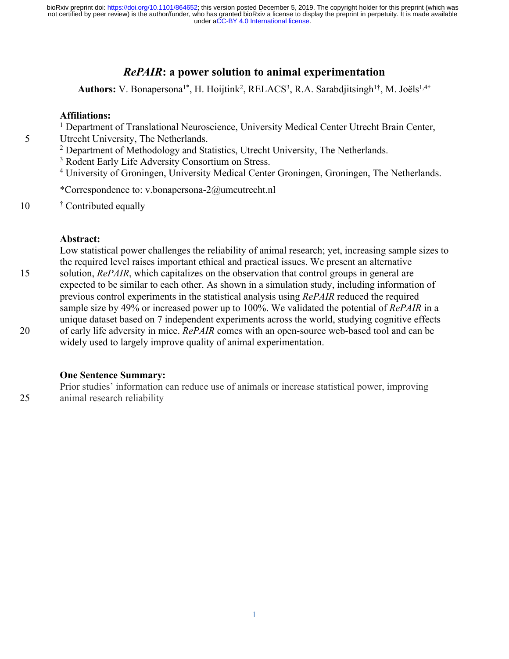## *RePAIR***: a power solution to animal experimentation**

Authors: V. Bonapersona<sup>1\*</sup>, H. Hoijtink<sup>2</sup>, RELACS<sup>3</sup>, R.A. Sarabdjitsingh<sup>1†</sup>, M. Joëls<sup>1,4†</sup>

#### **Affiliations:**

<sup>1</sup> Department of Translational Neuroscience, University Medical Center Utrecht Brain Center,

5 Utrecht University, The Netherlands.

<sup>2</sup> Department of Methodology and Statistics, Utrecht University, The Netherlands.

<sup>3</sup> Rodent Early Life Adversity Consortium on Stress.

<sup>4</sup> University of Groningen, University Medical Center Groningen, Groningen, The Netherlands.

\*Correspondence to: v.bonapersona-2@umcutrecht.nl

10 <sup>†</sup> Contributed equally

#### **Abstract:**

Low statistical power challenges the reliability of animal research; yet, increasing sample sizes to the required level raises important ethical and practical issues. We present an alternative 15 solution, *RePAIR*, which capitalizes on the observation that control groups in general are expected to be similar to each other. As shown in a simulation study, including information of previous control experiments in the statistical analysis using *RePAIR* reduced the required sample size by 49% or increased power up to 100%. We validated the potential of *RePAIR* in a unique dataset based on 7 independent experiments across the world, studying cognitive effects 20 of early life adversity in mice. *RePAIR* comes with an open-source web-based tool and can be widely used to largely improve quality of animal experimentation.

#### **One Sentence Summary:**

Prior studies' information can reduce use of animals or increase statistical power, improving 25 animal research reliability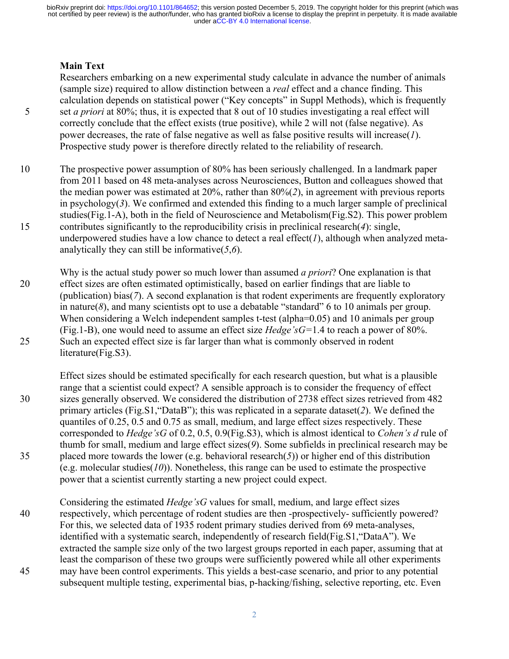#### **Main Text**

Researchers embarking on a new experimental study calculate in advance the number of animals (sample size) required to allow distinction between a *real* effect and a chance finding. This calculation depends on statistical power ("Key concepts" in Suppl Methods), which is frequently 5 set *a priori* at 80%; thus, it is expected that 8 out of 10 studies investigating a real effect will correctly conclude that the effect exists (true positive), while 2 will not (false negative). As power decreases, the rate of false negative as well as false positive results will increase(*1*). Prospective study power is therefore directly related to the reliability of research.

10 The prospective power assumption of 80% has been seriously challenged. In a landmark paper from 2011 based on 48 meta-analyses across Neurosciences, Button and colleagues showed that the median power was estimated at 20%, rather than 80%(*2*), in agreement with previous reports in psychology(*3*). We confirmed and extended this finding to a much larger sample of preclinical studies(Fig.1-A), both in the field of Neuroscience and Metabolism(Fig.S2). This power problem 15 contributes significantly to the reproducibility crisis in preclinical research(*4*): single, underpowered studies have a low chance to detect a real effect(*1*), although when analyzed metaanalytically they can still be informative(*5*,*6*).

Why is the actual study power so much lower than assumed *a priori*? One explanation is that 20 effect sizes are often estimated optimistically, based on earlier findings that are liable to (publication) bias(*7*). A second explanation is that rodent experiments are frequently exploratory in nature( $\delta$ ), and many scientists opt to use a debatable "standard" 6 to 10 animals per group. When considering a Welch independent samples t-test (alpha=0.05) and 10 animals per group (Fig.1-B), one would need to assume an effect size *Hedge'sG=*1.4 to reach a power of 80%. 25 Such an expected effect size is far larger than what is commonly observed in rodent literature(Fig.S3).

Effect sizes should be estimated specifically for each research question, but what is a plausible range that a scientist could expect? A sensible approach is to consider the frequency of effect 30 sizes generally observed. We considered the distribution of 2738 effect sizes retrieved from 482 primary articles (Fig.S1,"DataB"); this was replicated in a separate dataset(*2*). We defined the quantiles of 0.25, 0.5 and 0.75 as small, medium, and large effect sizes respectively. These corresponded to *Hedge'sG* of 0.2, 0.5, 0.9(Fig.S3), which is almost identical to *Cohen's d* rule of thumb for small, medium and large effect sizes(*9*). Some subfields in preclinical research may be 35 placed more towards the lower (e.g. behavioral research(*5*)) or higher end of this distribution (e.g. molecular studies(*10*)). Nonetheless, this range can be used to estimate the prospective power that a scientist currently starting a new project could expect.

Considering the estimated *Hedge'sG* values for small, medium, and large effect sizes 40 respectively, which percentage of rodent studies are then -prospectively- sufficiently powered? For this, we selected data of 1935 rodent primary studies derived from 69 meta-analyses, identified with a systematic search, independently of research field(Fig.S1,"DataA"). We extracted the sample size only of the two largest groups reported in each paper, assuming that at least the comparison of these two groups were sufficiently powered while all other experiments 45 may have been control experiments. This yields a best-case scenario, and prior to any potential subsequent multiple testing, experimental bias, p-hacking/fishing, selective reporting, etc. Even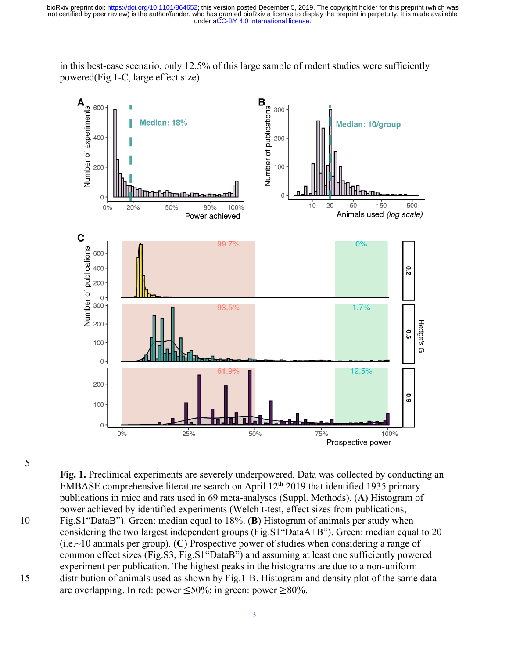in this best-case scenario, only 12.5% of this large sample of rodent studies were sufficiently powered(Fig.1-C, large effect size).



5

**Fig. 1.** Preclinical experiments are severely underpowered. Data was collected by conducting an EMBASE comprehensive literature search on April  $12<sup>th</sup> 2019$  that identified 1935 primary publications in mice and rats used in 69 meta-analyses (Suppl. Methods). (**A**) Histogram of power achieved by identified experiments (Welch t-test, effect sizes from publications, 10 Fig.S1"DataB"). Green: median equal to 18%. (**B**) Histogram of animals per study when considering the two largest independent groups (Fig.S1"DataA+B"). Green: median equal to 20 (i.e.~10 animals per group). (**C**) Prospective power of studies when considering a range of common effect sizes (Fig.S3, Fig.S1"DataB") and assuming at least one sufficiently powered experiment per publication. The highest peaks in the histograms are due to a non-uniform 15 distribution of animals used as shown by Fig.1-B. Histogram and density plot of the same data are overlapping. In red: power  $\leq 50\%$ ; in green: power ≥80%.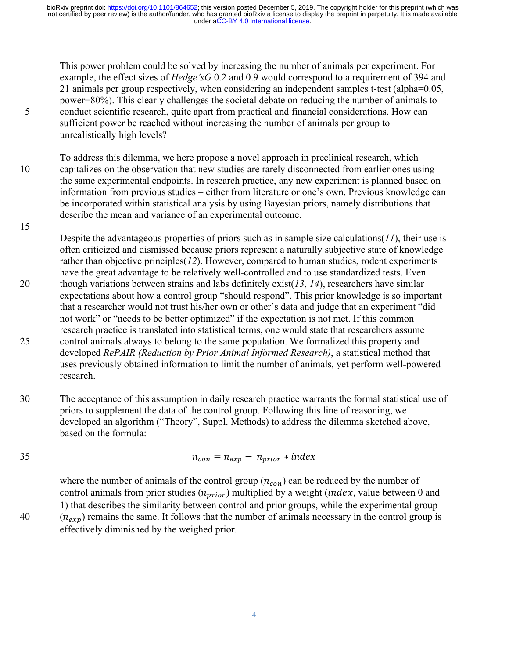This power problem could be solved by increasing the number of animals per experiment. For example, the effect sizes of *Hedge'sG* 0.2 and 0.9 would correspond to a requirement of 394 and 21 animals per group respectively, when considering an independent samples t-test (alpha=0.05, power=80%). This clearly challenges the societal debate on reducing the number of animals to 5 conduct scientific research, quite apart from practical and financial considerations. How can sufficient power be reached without increasing the number of animals per group to unrealistically high levels?

To address this dilemma, we here propose a novel approach in preclinical research, which 10 capitalizes on the observation that new studies are rarely disconnected from earlier ones using the same experimental endpoints. In research practice, any new experiment is planned based on information from previous studies – either from literature or one's own. Previous knowledge can be incorporated within statistical analysis by using Bayesian priors, namely distributions that describe the mean and variance of an experimental outcome.

Despite the advantageous properties of priors such as in sample size calculations(*11*), their use is often criticized and dismissed because priors represent a naturally subjective state of knowledge rather than objective principles(*12*). However, compared to human studies, rodent experiments have the great advantage to be relatively well-controlled and to use standardized tests. Even 20 though variations between strains and labs definitely exist(*13*, *14*), researchers have similar expectations about how a control group "should respond". This prior knowledge is so important that a researcher would not trust his/her own or other's data and judge that an experiment "did not work" or "needs to be better optimized" if the expectation is not met. If this common research practice is translated into statistical terms, one would state that researchers assume 25 control animals always to belong to the same population. We formalized this property and developed *RePAIR (Reduction by Prior Animal Informed Research)*, a statistical method that uses previously obtained information to limit the number of animals, yet perform well-powered research.

30 The acceptance of this assumption in daily research practice warrants the formal statistical use of priors to supplement the data of the control group. Following this line of reasoning, we developed an algorithm ("Theory", Suppl. Methods) to address the dilemma sketched above, based on the formula:

$$
n_{con} = n_{exp} - n_{prior} * index
$$

where the number of animals of the control group  $(n_{con})$  can be reduced by the number of control animals from prior studies  $(n_{prior})$  multiplied by a weight (*index*, value between 0 and 1) that describes the similarity between control and prior groups, while the experimental group  $(10)(n_{exp})$  remains the same. It follows that the number of animals necessary in the control group is effectively diminished by the weighed prior.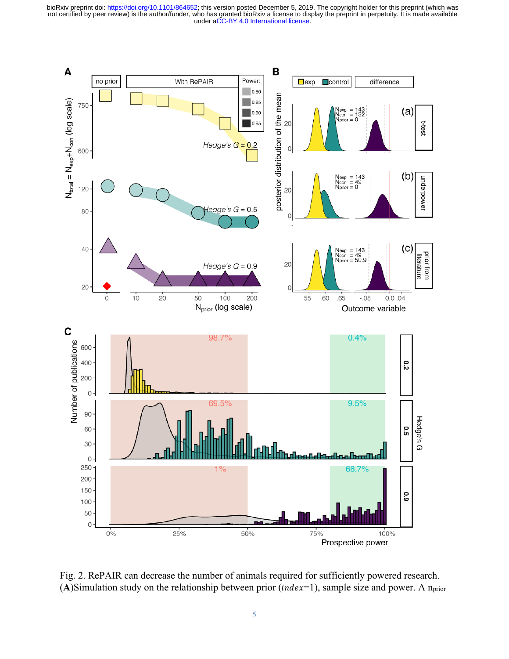

Fig. 2. RePAIR can decrease the number of animals required for sufficiently powered research. (A)Simulation study on the relationship between prior ( $index=1$ ), sample size and power. A n<sub>prior</sub>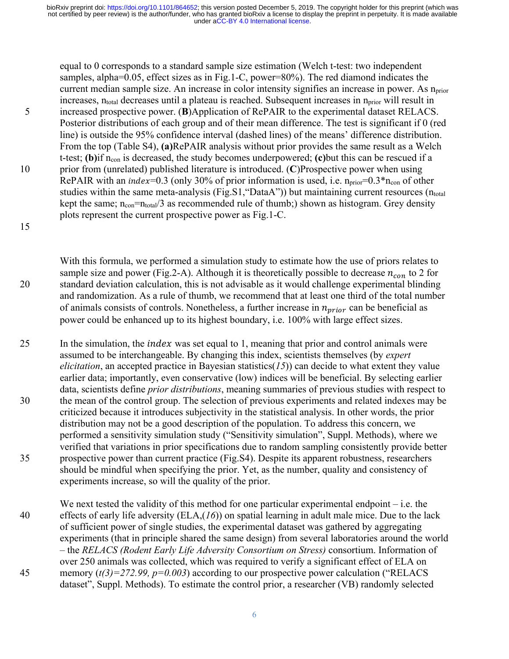equal to 0 corresponds to a standard sample size estimation (Welch t-test: two independent samples, alpha=0.05, effect sizes as in Fig.1-C, power=80%). The red diamond indicates the current median sample size. An increase in color intensity signifies an increase in power. As  $n_{prior}$ increases, n<sub>total</sub> decreases until a plateau is reached. Subsequent increases in n<sub>prior</sub> will result in 5 increased prospective power. (**B**)Application of RePAIR to the experimental dataset RELACS. Posterior distributions of each group and of their mean difference. The test is significant if 0 (red line) is outside the 95% confidence interval (dashed lines) of the means' difference distribution. From the top (Table S4), **(a)**RePAIR analysis without prior provides the same result as a Welch t-test; **(b)** if n<sub>con</sub> is decreased, the study becomes underpowered; **(c)** but this can be rescued if a 10 prior from (unrelated) published literature is introduced. (**C**)Prospective power when using RePAIR with an index=0.3 (only 30% of prior information is used, i.e.  $n_{prior}=0.3*n_{con}$  of other studies within the same meta-analysis (Fig.S1, "DataA")) but maintaining current resources (ntotal kept the same;  $n_{con} = n_{total}/3$  as recommended rule of thumb;) shown as histogram. Grey density plots represent the current prospective power as Fig.1-C.

#### 15

With this formula, we performed a simulation study to estimate how the use of priors relates to sample size and power (Fig.2-A). Although it is theoretically possible to decrease  $n_{con}$  to 2 for 20 standard deviation calculation, this is not advisable as it would challenge experimental blinding and randomization. As a rule of thumb, we recommend that at least one third of the total number of animals consists of controls. Nonetheless, a further increase in  $n_{\text{prior}}$  can be beneficial as power could be enhanced up to its highest boundary, i.e. 100% with large effect sizes.

 $25$  In the simulation, the *index* was set equal to 1, meaning that prior and control animals were assumed to be interchangeable. By changing this index, scientists themselves (by *expert elicitation*, an accepted practice in Bayesian statistics( $15$ ) can decide to what extent they value earlier data; importantly, even conservative (low) indices will be beneficial. By selecting earlier data, scientists define *prior distributions*, meaning summaries of previous studies with respect to 30 the mean of the control group. The selection of previous experiments and related indexes may be criticized because it introduces subjectivity in the statistical analysis. In other words, the prior distribution may not be a good description of the population. To address this concern, we performed a sensitivity simulation study ("Sensitivity simulation", Suppl. Methods), where we verified that variations in prior specifications due to random sampling consistently provide better 35 prospective power than current practice (Fig.S4). Despite its apparent robustness, researchers should be mindful when specifying the prior. Yet, as the number, quality and consistency of experiments increase, so will the quality of the prior.

We next tested the validity of this method for one particular experimental endpoint  $-$  i.e. the 40 effects of early life adversity (ELA,(*16*)) on spatial learning in adult male mice. Due to the lack of sufficient power of single studies, the experimental dataset was gathered by aggregating experiments (that in principle shared the same design) from several laboratories around the world – the *RELACS (Rodent Early Life Adversity Consortium on Stress)* consortium. Information of over 250 animals was collected, which was required to verify a significant effect of ELA on 45 memory (*t(3)=272.99, p=0.003*) according to our prospective power calculation ("RELACS dataset", Suppl. Methods). To estimate the control prior, a researcher (VB) randomly selected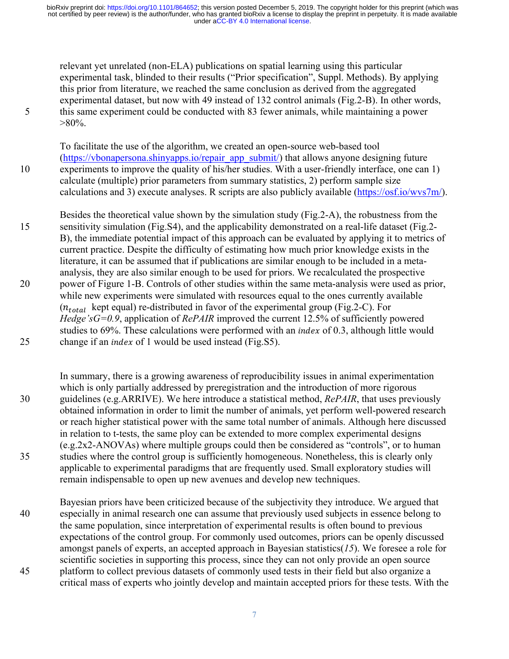relevant yet unrelated (non-ELA) publications on spatial learning using this particular experimental task, blinded to their results ("Prior specification", Suppl. Methods). By applying this prior from literature, we reached the same conclusion as derived from the aggregated experimental dataset, but now with 49 instead of 132 control animals (Fig.2-B). In other words, 5 this same experiment could be conducted with 83 fewer animals, while maintaining a power  $>80\%$ .

To facilitate the use of the algorithm, we created an open-source web-based tool (https://vbonapersona.shinyapps.io/repair app submit/) that allows anyone designing future 10 experiments to improve the quality of his/her studies. With a user-friendly interface, one can 1) calculate (multiple) prior parameters from summary statistics, 2) perform sample size calculations and 3) execute analyses. R scripts are also publicly available  $(\frac{https://osf.io/wvs7m/}{https://osf.io/wvs7m/})$ .

Besides the theoretical value shown by the simulation study (Fig.2-A), the robustness from the 15 sensitivity simulation (Fig.S4), and the applicability demonstrated on a real-life dataset (Fig.2- B), the immediate potential impact of this approach can be evaluated by applying it to metrics of current practice. Despite the difficulty of estimating how much prior knowledge exists in the literature, it can be assumed that if publications are similar enough to be included in a metaanalysis, they are also similar enough to be used for priors. We recalculated the prospective 20 power of Figure 1-B. Controls of other studies within the same meta-analysis were used as prior, while new experiments were simulated with resources equal to the ones currently available  $(n_{total}$  kept equal) re-distributed in favor of the experimental group (Fig.2-C). For *Hedge'sG=0.9*, application of *RePAIR* improved the current 12.5% of sufficiently powered studies to  $69\%$ . These calculations were performed with an *index* of 0.3, although little would 25 change if an *index* of 1 would be used instead (Fig. S5).

In summary, there is a growing awareness of reproducibility issues in animal experimentation which is only partially addressed by preregistration and the introduction of more rigorous 30 guidelines (e.g.ARRIVE). We here introduce a statistical method, *RePAIR*, that uses previously obtained information in order to limit the number of animals, yet perform well-powered research or reach higher statistical power with the same total number of animals. Although here discussed in relation to t-tests, the same ploy can be extended to more complex experimental designs (e.g.2x2-ANOVAs) where multiple groups could then be considered as "controls", or to human 35 studies where the control group is sufficiently homogeneous. Nonetheless, this is clearly only applicable to experimental paradigms that are frequently used. Small exploratory studies will remain indispensable to open up new avenues and develop new techniques.

Bayesian priors have been criticized because of the subjectivity they introduce. We argued that 40 especially in animal research one can assume that previously used subjects in essence belong to the same population, since interpretation of experimental results is often bound to previous expectations of the control group. For commonly used outcomes, priors can be openly discussed amongst panels of experts, an accepted approach in Bayesian statistics(*15*). We foresee a role for scientific societies in supporting this process, since they can not only provide an open source 45 platform to collect previous datasets of commonly used tests in their field but also organize a critical mass of experts who jointly develop and maintain accepted priors for these tests. With the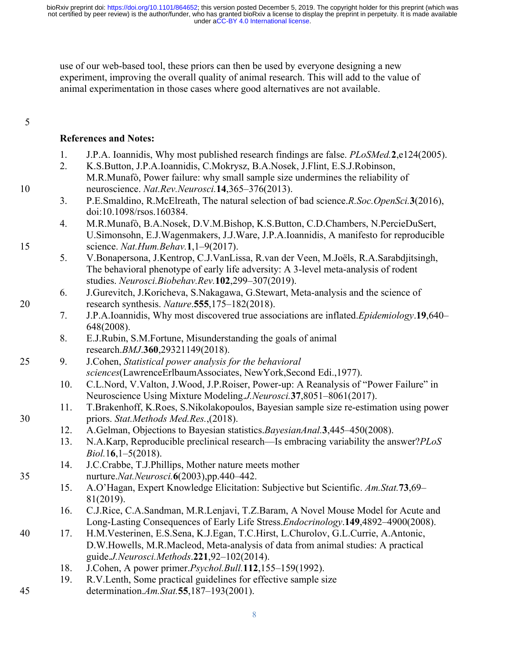use of our web-based tool, these priors can then be used by everyone designing a new experiment, improving the overall quality of animal research. This will add to the value of animal experimentation in those cases where good alternatives are not available.

5

## **References and Notes:**

- 1. J.P.A. Ioannidis, Why most published research findings are false. *PLoSMed.***2**,e124(2005).
- 2. K.S.Button, J.P.A.Ioannidis, C.Mokrysz, B.A.Nosek, J.Flint, E.S.J.Robinson, M.R.Munafò, Power failure: why small sample size undermines the reliability of 10 neuroscience. *Nat.Rev.Neurosci.***14**,365–376(2013).
	- 3. P.E.Smaldino, R.McElreath, The natural selection of bad science.*R.Soc.OpenSci.***3**(2016), doi:10.1098/rsos.160384.
- 4. M.R.Munafò, B.A.Nosek, D.V.M.Bishop, K.S.Button, C.D.Chambers, N.PercieDuSert, U.Simonsohn, E.J.Wagenmakers, J.J.Ware, J.P.A.Ioannidis, A manifesto for reproducible 15 science. *Nat.Hum.Behav.***1**,1–9(2017).
	- 5. V.Bonapersona, J.Kentrop, C.J.VanLissa, R.van der Veen, M.Joëls, R.A.Sarabdjitsingh, The behavioral phenotype of early life adversity: A 3-level meta-analysis of rodent studies. *Neurosci.Biobehav.Rev.***102**,299–307(2019).
- 6. J.Gurevitch, J.Koricheva, S.Nakagawa, G.Stewart, Meta-analysis and the science of 20 research synthesis. *Nature*.**555**,175–182(2018).
	- 7. J.P.A.Ioannidis, Why most discovered true associations are inflated.*Epidemiology*.**19**,640– 648(2008).
	- 8. E.J.Rubin, S.M.Fortune, Misunderstanding the goals of animal research.*BMJ*.**360**,29321149(2018).
- 25 9. J.Cohen, *Statistical power analysis for the behavioral sciences*(LawrenceErlbaumAssociates, NewYork,Second Edi.,1977).
	- 10. C.L.Nord, V.Valton, J.Wood, J.P.Roiser, Power-up: A Reanalysis of "Power Failure" in Neuroscience Using Mixture Modeling.*J.Neurosci.***37**,8051–8061(2017).
- 11. T.Brakenhoff, K.Roes, S.Nikolakopoulos, Bayesian sample size re-estimation using power 30 priors. *Stat.Methods Med.Res.*,(2018).
	- 12. A.Gelman, Objections to Bayesian statistics.*BayesianAnal.***3**,445–450(2008).
	- 13. N.A.Karp, Reproducible preclinical research—Is embracing variability the answer?*PLoS Biol.*1**6**,1–5(2018).
- 14. J.C.Crabbe, T.J.Phillips, Mother nature meets mother 35 nurture.*Nat.Neurosci.***6**(2003),pp.440–442.
	- 15. A.O'Hagan, Expert Knowledge Elicitation: Subjective but Scientific. *Am.Stat.***73**,69– 81(2019).
	- 16. C.J.Rice, C.A.Sandman, M.R.Lenjavi, T.Z.Baram, A Novel Mouse Model for Acute and Long-Lasting Consequences of Early Life Stress.*Endocrinology*.**149**,4892–4900(2008).
- 40 17. H.M.Vesterinen, E.S.Sena, K.J.Egan, T.C.Hirst, L.Churolov, G.L.Currie, A.Antonic, D.W.Howells, M.R.Macleod, Meta-analysis of data from animal studies: A practical guide.*J.Neurosci.Methods*.**221**,92–102(2014).
	- 18. J.Cohen, A power primer.*Psychol.Bull.***112**,155–159(1992).
- 19. R.V.Lenth, Some practical guidelines for effective sample size 45 determination.*Am.Stat.***55**,187–193(2001).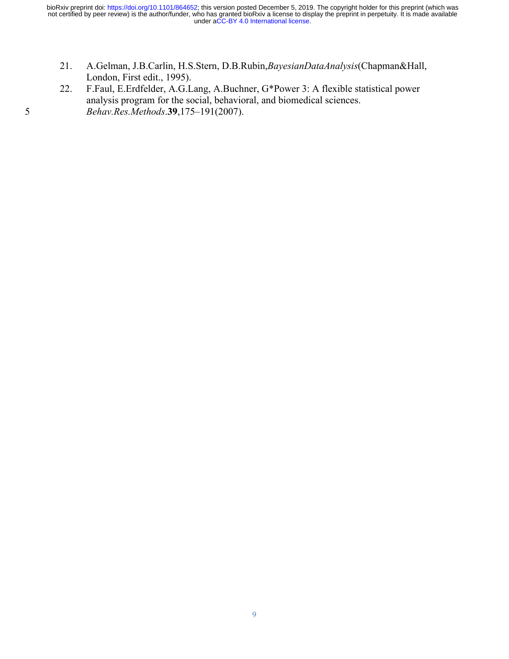- 21. A.Gelman, J.B.Carlin, H.S.Stern, D.B.Rubin,*BayesianDataAnalysis*(Chapman&Hall, London, First edit., 1995).
- 22. F.Faul, E.Erdfelder, A.G.Lang, A.Buchner, G\*Power 3: A flexible statistical power analysis program for the social, behavioral, and biomedical sciences. 5 *Behav.Res.Methods*.**39**,175–191(2007).